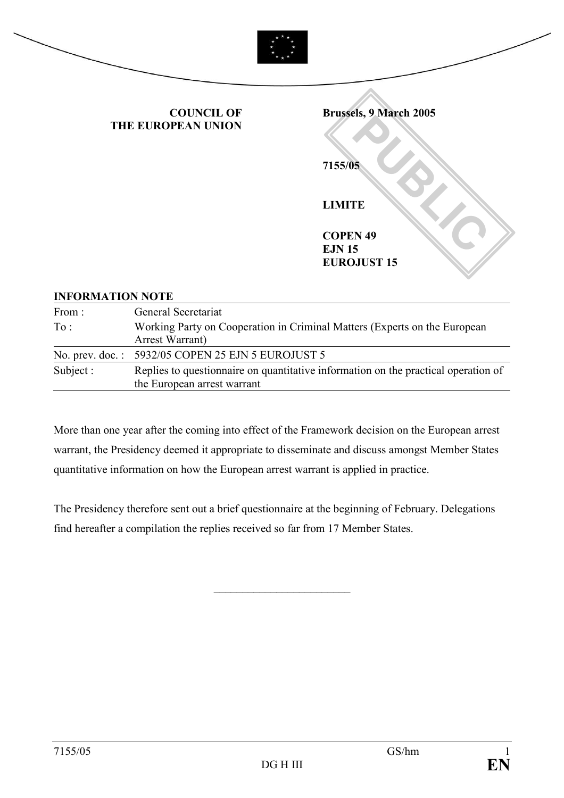

## INFORMATION NOTE

| From:              | General Secretariat                                                                                               |
|--------------------|-------------------------------------------------------------------------------------------------------------------|
| To:                | Working Party on Cooperation in Criminal Matters (Experts on the European<br>Arrest Warrant)                      |
| No. prev. $doc.$ : | 5932/05 COPEN 25 EJN 5 EUROJUST 5                                                                                 |
| Subject :          | Replies to questionnaire on quantitative information on the practical operation of<br>the European arrest warrant |

More than one year after the coming into effect of the Framework decision on the European arrest warrant, the Presidency deemed it appropriate to disseminate and discuss amongst Member States quantitative information on how the European arrest warrant is applied in practice.

The Presidency therefore sent out a brief questionnaire at the beginning of February. Delegations find hereafter a compilation the replies received so far from 17 Member States.

\_\_\_\_\_\_\_\_\_\_\_\_\_\_\_\_\_\_\_\_\_\_\_\_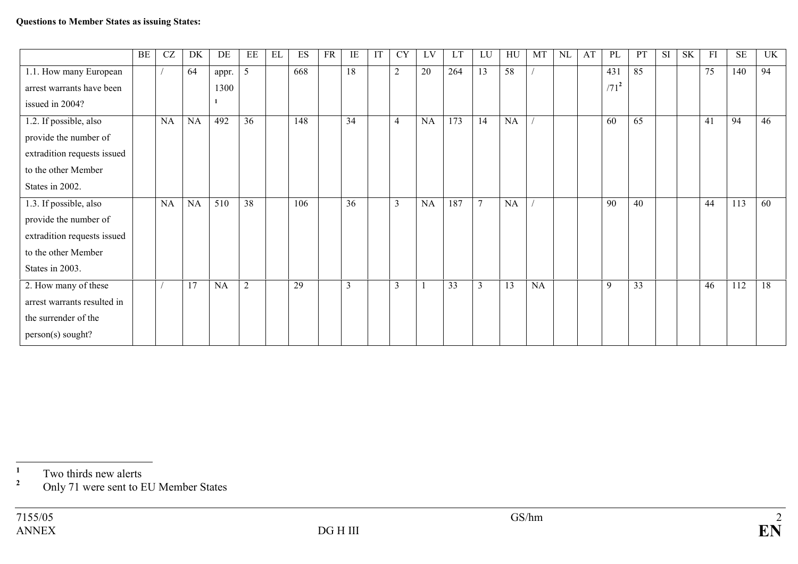|                             | BE | CZ        | DK        | DE        | EE             | EL | ES  | <b>FR</b> | IE                      | IT | <b>CY</b>      | LV | <b>LT</b>       | LU           | HU              | MT | $\rm NL$ | AT | PL      | PT | SI | <b>SK</b> | FI | <b>SE</b> | UK |
|-----------------------------|----|-----------|-----------|-----------|----------------|----|-----|-----------|-------------------------|----|----------------|----|-----------------|--------------|-----------------|----|----------|----|---------|----|----|-----------|----|-----------|----|
| 1.1. How many European      |    |           | 64        | appr.     | 5              |    | 668 |           | 18                      |    | $\overline{2}$ | 20 | 264             | 13           | 58              |    |          |    | 431     | 85 |    |           | 75 | 140       | 94 |
| arrest warrants have been   |    |           |           | 1300      |                |    |     |           |                         |    |                |    |                 |              |                 |    |          |    | $/71^2$ |    |    |           |    |           |    |
| issued in 2004?             |    |           |           |           |                |    |     |           |                         |    |                |    |                 |              |                 |    |          |    |         |    |    |           |    |           |    |
| 1.2. If possible, also      |    | <b>NA</b> | <b>NA</b> | 492       | 36             |    | 148 |           | 34                      |    | $\overline{4}$ | NA | 173             | 14           | NA              |    |          |    | 60      | 65 |    |           | 41 | 94        | 46 |
| provide the number of       |    |           |           |           |                |    |     |           |                         |    |                |    |                 |              |                 |    |          |    |         |    |    |           |    |           |    |
| extradition requests issued |    |           |           |           |                |    |     |           |                         |    |                |    |                 |              |                 |    |          |    |         |    |    |           |    |           |    |
| to the other Member         |    |           |           |           |                |    |     |           |                         |    |                |    |                 |              |                 |    |          |    |         |    |    |           |    |           |    |
| States in 2002.             |    |           |           |           |                |    |     |           |                         |    |                |    |                 |              |                 |    |          |    |         |    |    |           |    |           |    |
| 1.3. If possible, also      |    | NA        | <b>NA</b> | 510       | 38             |    | 106 |           | 36                      |    | $\mathfrak{Z}$ | NA | 187             | $\mathbf{r}$ | NA              |    |          |    | 90      | 40 |    |           | 44 | 113       | 60 |
| provide the number of       |    |           |           |           |                |    |     |           |                         |    |                |    |                 |              |                 |    |          |    |         |    |    |           |    |           |    |
| extradition requests issued |    |           |           |           |                |    |     |           |                         |    |                |    |                 |              |                 |    |          |    |         |    |    |           |    |           |    |
| to the other Member         |    |           |           |           |                |    |     |           |                         |    |                |    |                 |              |                 |    |          |    |         |    |    |           |    |           |    |
| States in 2003.             |    |           |           |           |                |    |     |           |                         |    |                |    |                 |              |                 |    |          |    |         |    |    |           |    |           |    |
| 2. How many of these        |    |           | 17        | <b>NA</b> | $\overline{2}$ |    | 29  |           | $\overline{\mathbf{3}}$ |    | $\overline{3}$ |    | $\overline{33}$ | 3            | $\overline{13}$ | NA |          |    | 9       | 33 |    |           | 46 | 112       | 18 |
| arrest warrants resulted in |    |           |           |           |                |    |     |           |                         |    |                |    |                 |              |                 |    |          |    |         |    |    |           |    |           |    |
| the surrender of the        |    |           |           |           |                |    |     |           |                         |    |                |    |                 |              |                 |    |          |    |         |    |    |           |    |           |    |
| person(s) sought?           |    |           |           |           |                |    |     |           |                         |    |                |    |                 |              |                 |    |          |    |         |    |    |           |    |           |    |

 $\frac{1}{2}$  Two thirds new alerts

 $2^2$  Only 71 were sent to EU Member States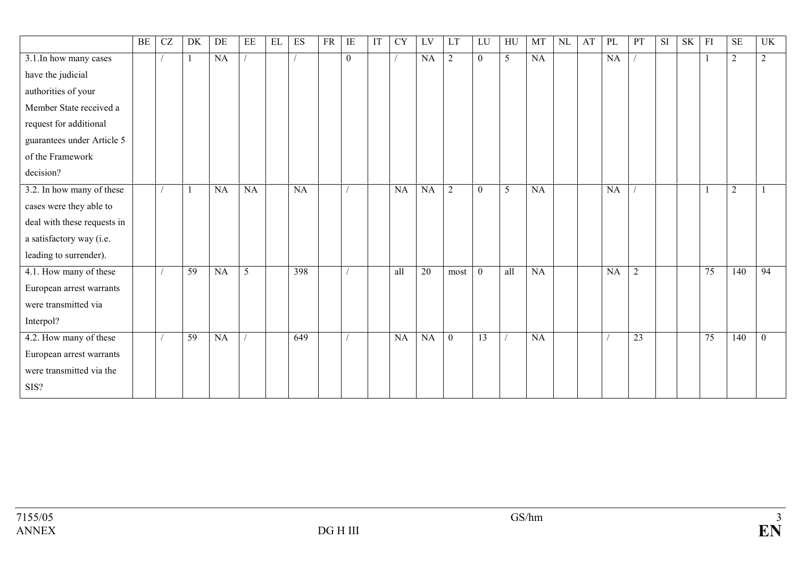|                             | BE | CZ | DK              | DE        | EE              | EL | ES  | <b>FR</b> | IE           | IT | <b>CY</b> | LV | LT             | LU           | HU             | MT        | $\rm NL$ | AT | PL | PT             | SI <sub>-</sub> | <b>SK</b> | FI              | <b>SE</b>      | UK             |
|-----------------------------|----|----|-----------------|-----------|-----------------|----|-----|-----------|--------------|----|-----------|----|----------------|--------------|----------------|-----------|----------|----|----|----------------|-----------------|-----------|-----------------|----------------|----------------|
| 3.1. In how many cases      |    |    |                 | NA        |                 |    |     |           | $\mathbf{0}$ |    |           | NA | $\overline{2}$ | $\mathbf{0}$ | $\overline{5}$ | NA        |          |    | NA |                |                 |           |                 | $\overline{2}$ | $\overline{2}$ |
| have the judicial           |    |    |                 |           |                 |    |     |           |              |    |           |    |                |              |                |           |          |    |    |                |                 |           |                 |                |                |
| authorities of your         |    |    |                 |           |                 |    |     |           |              |    |           |    |                |              |                |           |          |    |    |                |                 |           |                 |                |                |
| Member State received a     |    |    |                 |           |                 |    |     |           |              |    |           |    |                |              |                |           |          |    |    |                |                 |           |                 |                |                |
| request for additional      |    |    |                 |           |                 |    |     |           |              |    |           |    |                |              |                |           |          |    |    |                |                 |           |                 |                |                |
| guarantees under Article 5  |    |    |                 |           |                 |    |     |           |              |    |           |    |                |              |                |           |          |    |    |                |                 |           |                 |                |                |
| of the Framework            |    |    |                 |           |                 |    |     |           |              |    |           |    |                |              |                |           |          |    |    |                |                 |           |                 |                |                |
| decision?                   |    |    |                 |           |                 |    |     |           |              |    |           |    |                |              |                |           |          |    |    |                |                 |           |                 |                |                |
| 3.2. In how many of these   |    |    |                 | <b>NA</b> | NA              |    | NA  |           |              |    | <b>NA</b> | NA | $\overline{2}$ | $\theta$     | 5              | <b>NA</b> |          |    | NA |                |                 |           |                 | $\overline{2}$ |                |
| cases were they able to     |    |    |                 |           |                 |    |     |           |              |    |           |    |                |              |                |           |          |    |    |                |                 |           |                 |                |                |
| deal with these requests in |    |    |                 |           |                 |    |     |           |              |    |           |    |                |              |                |           |          |    |    |                |                 |           |                 |                |                |
| a satisfactory way (i.e.    |    |    |                 |           |                 |    |     |           |              |    |           |    |                |              |                |           |          |    |    |                |                 |           |                 |                |                |
| leading to surrender).      |    |    |                 |           |                 |    |     |           |              |    |           |    |                |              |                |           |          |    |    |                |                 |           |                 |                |                |
| 4.1. How many of these      |    |    | $\overline{59}$ | NA        | $5\overline{)}$ |    | 398 |           |              |    | all       | 20 | most           | $\mathbf{0}$ | all            | NA        |          |    | NA | $\overline{2}$ |                 |           | $\overline{75}$ | 140            | 94             |
| European arrest warrants    |    |    |                 |           |                 |    |     |           |              |    |           |    |                |              |                |           |          |    |    |                |                 |           |                 |                |                |
| were transmitted via        |    |    |                 |           |                 |    |     |           |              |    |           |    |                |              |                |           |          |    |    |                |                 |           |                 |                |                |
| Interpol?                   |    |    |                 |           |                 |    |     |           |              |    |           |    |                |              |                |           |          |    |    |                |                 |           |                 |                |                |
| 4.2. How many of these      |    |    | 59              | NA        |                 |    | 649 |           |              |    | NA        | NA | $\mathbf{0}$   | 13           |                | NA        |          |    |    | 23             |                 |           | 75              | 140            | $\mathbf{0}$   |
| European arrest warrants    |    |    |                 |           |                 |    |     |           |              |    |           |    |                |              |                |           |          |    |    |                |                 |           |                 |                |                |
| were transmitted via the    |    |    |                 |           |                 |    |     |           |              |    |           |    |                |              |                |           |          |    |    |                |                 |           |                 |                |                |
| SIS?                        |    |    |                 |           |                 |    |     |           |              |    |           |    |                |              |                |           |          |    |    |                |                 |           |                 |                |                |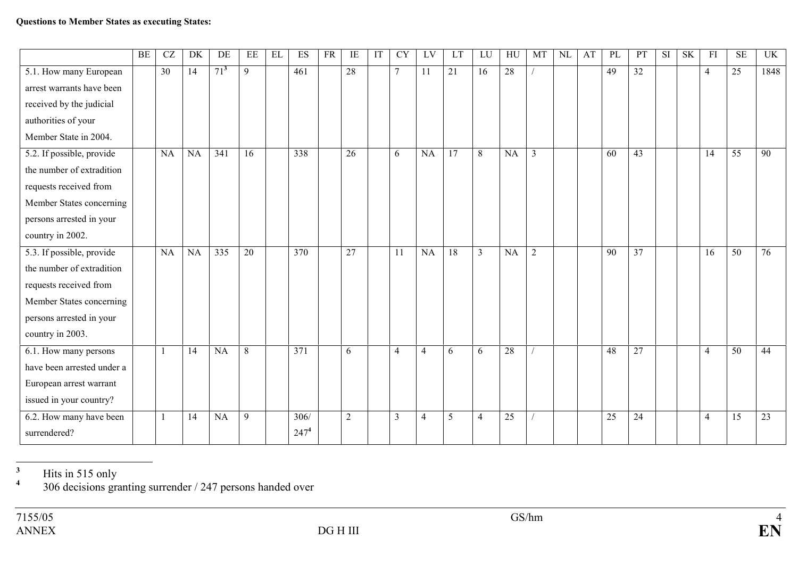|                            | BE | CZ              | DK        | DE        | EE | EL | ES               | <b>FR</b> | IE              | IT | <b>CY</b>      | LV             | LT              | LU             | HU        | MT             | NL | AT | PL | PT              | SI | <b>SK</b> | FI             | <b>SE</b>       | UK   |
|----------------------------|----|-----------------|-----------|-----------|----|----|------------------|-----------|-----------------|----|----------------|----------------|-----------------|----------------|-----------|----------------|----|----|----|-----------------|----|-----------|----------------|-----------------|------|
| 5.1. How many European     |    | $\overline{30}$ | 14        | $71^3$    | 9  |    | 461              |           | $\overline{28}$ |    | $\tau$         | 11             | $\overline{21}$ | 16             | 28        |                |    |    | 49 | $\overline{32}$ |    |           | $\overline{4}$ | 25              | 1848 |
| arrest warrants have been  |    |                 |           |           |    |    |                  |           |                 |    |                |                |                 |                |           |                |    |    |    |                 |    |           |                |                 |      |
| received by the judicial   |    |                 |           |           |    |    |                  |           |                 |    |                |                |                 |                |           |                |    |    |    |                 |    |           |                |                 |      |
| authorities of your        |    |                 |           |           |    |    |                  |           |                 |    |                |                |                 |                |           |                |    |    |    |                 |    |           |                |                 |      |
| Member State in 2004.      |    |                 |           |           |    |    |                  |           |                 |    |                |                |                 |                |           |                |    |    |    |                 |    |           |                |                 |      |
| 5.2. If possible, provide  |    | <b>NA</b>       | NA        | 341       | 16 |    | 338              |           | $\overline{26}$ |    | 6              | NA             | $\overline{17}$ | 8              | NA        | $\mathfrak{Z}$ |    |    | 60 | 43              |    |           | 14             | $\overline{55}$ | 90   |
| the number of extradition  |    |                 |           |           |    |    |                  |           |                 |    |                |                |                 |                |           |                |    |    |    |                 |    |           |                |                 |      |
| requests received from     |    |                 |           |           |    |    |                  |           |                 |    |                |                |                 |                |           |                |    |    |    |                 |    |           |                |                 |      |
| Member States concerning   |    |                 |           |           |    |    |                  |           |                 |    |                |                |                 |                |           |                |    |    |    |                 |    |           |                |                 |      |
| persons arrested in your   |    |                 |           |           |    |    |                  |           |                 |    |                |                |                 |                |           |                |    |    |    |                 |    |           |                |                 |      |
| country in 2002.           |    |                 |           |           |    |    |                  |           |                 |    |                |                |                 |                |           |                |    |    |    |                 |    |           |                |                 |      |
| 5.3. If possible, provide  |    | <b>NA</b>       | <b>NA</b> | 335       | 20 |    | 370              |           | 27              |    | 11             | NA             | 18              | $\overline{3}$ | <b>NA</b> | $\overline{2}$ |    |    | 90 | 37              |    |           | 16             | 50              | 76   |
| the number of extradition  |    |                 |           |           |    |    |                  |           |                 |    |                |                |                 |                |           |                |    |    |    |                 |    |           |                |                 |      |
| requests received from     |    |                 |           |           |    |    |                  |           |                 |    |                |                |                 |                |           |                |    |    |    |                 |    |           |                |                 |      |
| Member States concerning   |    |                 |           |           |    |    |                  |           |                 |    |                |                |                 |                |           |                |    |    |    |                 |    |           |                |                 |      |
| persons arrested in your   |    |                 |           |           |    |    |                  |           |                 |    |                |                |                 |                |           |                |    |    |    |                 |    |           |                |                 |      |
| country in 2003.           |    |                 |           |           |    |    |                  |           |                 |    |                |                |                 |                |           |                |    |    |    |                 |    |           |                |                 |      |
| 6.1. How many persons      |    |                 | 14        | NA        | 8  |    | $\overline{371}$ |           | 6               |    | $\overline{4}$ | $\overline{4}$ | 6               | 6              | 28        |                |    |    | 48 | 27              |    |           | $\overline{4}$ | $\overline{50}$ | 44   |
| have been arrested under a |    |                 |           |           |    |    |                  |           |                 |    |                |                |                 |                |           |                |    |    |    |                 |    |           |                |                 |      |
| European arrest warrant    |    |                 |           |           |    |    |                  |           |                 |    |                |                |                 |                |           |                |    |    |    |                 |    |           |                |                 |      |
| issued in your country?    |    |                 |           |           |    |    |                  |           |                 |    |                |                |                 |                |           |                |    |    |    |                 |    |           |                |                 |      |
| 6.2. How many have been    |    | $\mathbf{1}$    | 14        | <b>NA</b> | 9  |    | 306/             |           | $\overline{2}$  |    | $\overline{3}$ | 4              | 5               | $\overline{4}$ | 25        |                |    |    | 25 | 24              |    |           | $\overline{4}$ | 15              | 23   |
| surrendered?               |    |                 |           |           |    |    | 247 <sup>4</sup> |           |                 |    |                |                |                 |                |           |                |    |    |    |                 |    |           |                |                 |      |

<sup>3</sup> Hits in 515 only  $306$  decisions granting surrender / 247 persons handed over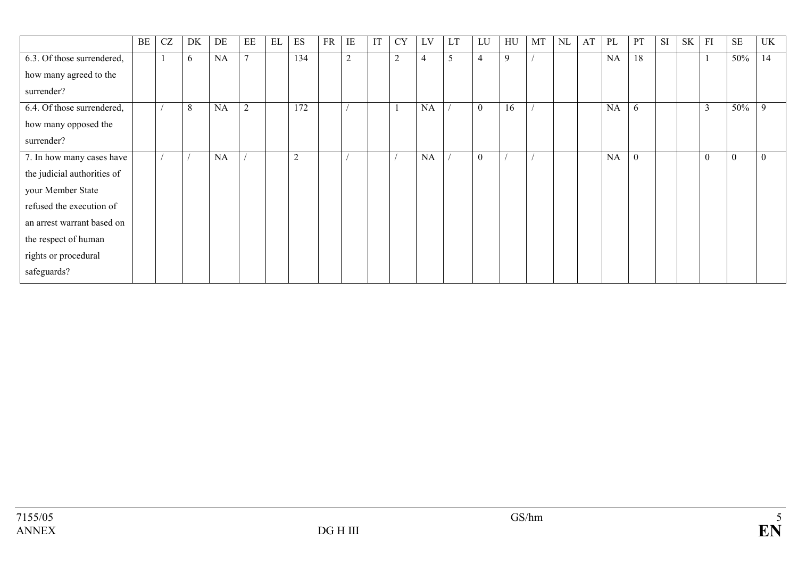|                             | BE | <b>CZ</b> | DK | DE        | EE             | EL | ES     | FR | IE             | IT | <b>CY</b>      | LV        | <b>LT</b>     | LU           | HU | MT | NL | AT | PL | PT       | SI | <b>SK</b> | FI       | <b>SE</b> | UK       |
|-----------------------------|----|-----------|----|-----------|----------------|----|--------|----|----------------|----|----------------|-----------|---------------|--------------|----|----|----|----|----|----------|----|-----------|----------|-----------|----------|
| 6.3. Of those surrendered,  |    |           | 6  | NA        | $\mathbf{r}$   |    | 134    |    | $\overline{2}$ |    | $\overline{2}$ | 4         | $\mathcal{L}$ | 4            | 9  |    |    |    | NA | 18       |    |           |          | 50%       | 14       |
| how many agreed to the      |    |           |    |           |                |    |        |    |                |    |                |           |               |              |    |    |    |    |    |          |    |           |          |           |          |
| surrender?                  |    |           |    |           |                |    |        |    |                |    |                |           |               |              |    |    |    |    |    |          |    |           |          |           |          |
| 6.4. Of those surrendered,  |    |           | 8  | <b>NA</b> | $\overline{2}$ |    | 172    |    |                |    | 1              | <b>NA</b> |               | $\mathbf{0}$ | 16 |    |    |    | NA | 6        |    |           | 3        | 50%       | -9       |
| how many opposed the        |    |           |    |           |                |    |        |    |                |    |                |           |               |              |    |    |    |    |    |          |    |           |          |           |          |
| surrender?                  |    |           |    |           |                |    |        |    |                |    |                |           |               |              |    |    |    |    |    |          |    |           |          |           |          |
| 7. In how many cases have   |    |           |    | NA        |                |    | ⌒<br>∠ |    |                |    |                | NA        |               | $\mathbf{0}$ |    |    |    |    | NA | $\theta$ |    |           | $\theta$ | $\theta$  | $\theta$ |
| the judicial authorities of |    |           |    |           |                |    |        |    |                |    |                |           |               |              |    |    |    |    |    |          |    |           |          |           |          |
| your Member State           |    |           |    |           |                |    |        |    |                |    |                |           |               |              |    |    |    |    |    |          |    |           |          |           |          |
| refused the execution of    |    |           |    |           |                |    |        |    |                |    |                |           |               |              |    |    |    |    |    |          |    |           |          |           |          |
| an arrest warrant based on  |    |           |    |           |                |    |        |    |                |    |                |           |               |              |    |    |    |    |    |          |    |           |          |           |          |
| the respect of human        |    |           |    |           |                |    |        |    |                |    |                |           |               |              |    |    |    |    |    |          |    |           |          |           |          |
| rights or procedural        |    |           |    |           |                |    |        |    |                |    |                |           |               |              |    |    |    |    |    |          |    |           |          |           |          |
| safeguards?                 |    |           |    |           |                |    |        |    |                |    |                |           |               |              |    |    |    |    |    |          |    |           |          |           |          |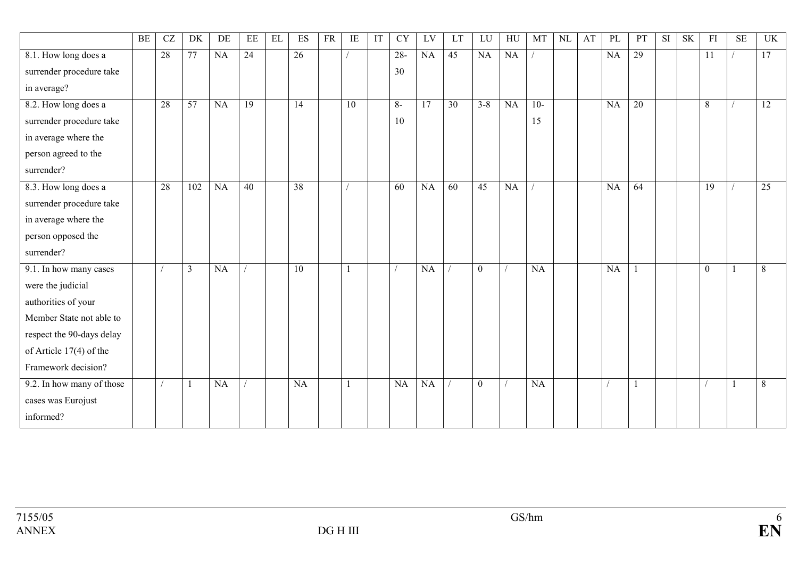|                           | BE | $\operatorname{CZ}$ | DK                      | DE | EE | EL | ES              | <b>FR</b> | IE              | IT | <b>CY</b> | LV | LT              | LU           | HU | MT    | <b>NL</b> | AT | PL | PT           | <b>SI</b> | <b>SK</b> | FI              | <b>SE</b> | UK              |
|---------------------------|----|---------------------|-------------------------|----|----|----|-----------------|-----------|-----------------|----|-----------|----|-----------------|--------------|----|-------|-----------|----|----|--------------|-----------|-----------|-----------------|-----------|-----------------|
| 8.1. How long does a      |    | 28                  | 77                      | NA | 24 |    | 26              |           |                 |    | $28 -$    | NA | 45              | NA           | NA |       |           |    | NA | 29           |           |           | $\overline{11}$ |           | 17              |
| surrender procedure take  |    |                     |                         |    |    |    |                 |           |                 |    | 30        |    |                 |              |    |       |           |    |    |              |           |           |                 |           |                 |
| in average?               |    |                     |                         |    |    |    |                 |           |                 |    |           |    |                 |              |    |       |           |    |    |              |           |           |                 |           |                 |
| 8.2. How long does a      |    | 28                  | $\overline{57}$         | NA | 19 |    | $\overline{14}$ |           | $\overline{10}$ |    | $8-$      | 17 | $\overline{30}$ | $3 - 8$      | NA | $10-$ |           |    | NA | 20           |           |           | $\,$ 8 $\,$     |           | $\overline{12}$ |
| surrender procedure take  |    |                     |                         |    |    |    |                 |           |                 |    | 10        |    |                 |              |    | 15    |           |    |    |              |           |           |                 |           |                 |
| in average where the      |    |                     |                         |    |    |    |                 |           |                 |    |           |    |                 |              |    |       |           |    |    |              |           |           |                 |           |                 |
| person agreed to the      |    |                     |                         |    |    |    |                 |           |                 |    |           |    |                 |              |    |       |           |    |    |              |           |           |                 |           |                 |
| surrender?                |    |                     |                         |    |    |    |                 |           |                 |    |           |    |                 |              |    |       |           |    |    |              |           |           |                 |           |                 |
| 8.3. How long does a      |    | 28                  | 102                     | NA | 40 |    | 38              |           |                 |    | 60        | NA | 60              | 45           | NA |       |           |    | NA | 64           |           |           | 19              |           | 25              |
| surrender procedure take  |    |                     |                         |    |    |    |                 |           |                 |    |           |    |                 |              |    |       |           |    |    |              |           |           |                 |           |                 |
| in average where the      |    |                     |                         |    |    |    |                 |           |                 |    |           |    |                 |              |    |       |           |    |    |              |           |           |                 |           |                 |
| person opposed the        |    |                     |                         |    |    |    |                 |           |                 |    |           |    |                 |              |    |       |           |    |    |              |           |           |                 |           |                 |
| surrender?                |    |                     |                         |    |    |    |                 |           |                 |    |           |    |                 |              |    |       |           |    |    |              |           |           |                 |           |                 |
| 9.1. In how many cases    |    |                     | $\overline{\mathbf{3}}$ | NA |    |    | $\overline{10}$ |           |                 |    |           | NA |                 | $\theta$     |    | NA    |           |    | NA |              |           |           | $\theta$        |           | 8               |
| were the judicial         |    |                     |                         |    |    |    |                 |           |                 |    |           |    |                 |              |    |       |           |    |    |              |           |           |                 |           |                 |
| authorities of your       |    |                     |                         |    |    |    |                 |           |                 |    |           |    |                 |              |    |       |           |    |    |              |           |           |                 |           |                 |
| Member State not able to  |    |                     |                         |    |    |    |                 |           |                 |    |           |    |                 |              |    |       |           |    |    |              |           |           |                 |           |                 |
| respect the 90-days delay |    |                     |                         |    |    |    |                 |           |                 |    |           |    |                 |              |    |       |           |    |    |              |           |           |                 |           |                 |
| of Article 17(4) of the   |    |                     |                         |    |    |    |                 |           |                 |    |           |    |                 |              |    |       |           |    |    |              |           |           |                 |           |                 |
| Framework decision?       |    |                     |                         |    |    |    |                 |           |                 |    |           |    |                 |              |    |       |           |    |    |              |           |           |                 |           |                 |
| 9.2. In how many of those |    |                     | $\mathbf{1}$            | NA |    |    | NA              |           |                 |    | NA        | NA |                 | $\mathbf{0}$ |    | NA    |           |    |    | $\mathbf{1}$ |           |           |                 |           | 8               |
| cases was Eurojust        |    |                     |                         |    |    |    |                 |           |                 |    |           |    |                 |              |    |       |           |    |    |              |           |           |                 |           |                 |
| informed?                 |    |                     |                         |    |    |    |                 |           |                 |    |           |    |                 |              |    |       |           |    |    |              |           |           |                 |           |                 |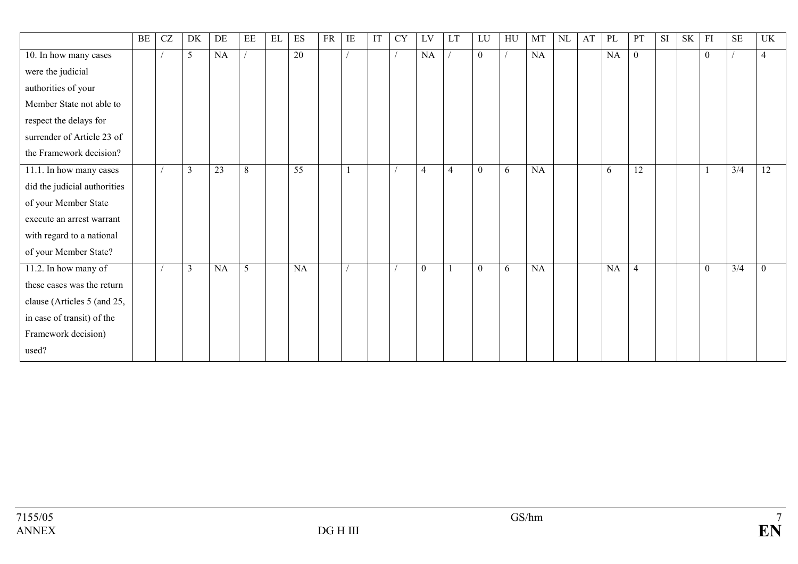|                              | BE | CZ | DK             | DE        | EE             | $\mathop{\rm EL}$ | ES              | <b>FR</b> | IE | IT | <b>CY</b> | LV             | LT             | LU           | HU | MT | NL | AT | PL | PT             | <b>SI</b> | $\ensuremath{\mathbf{S}}\ensuremath{\mathbf{K}}$ | FI               | $\rm SE$                 | UK              |
|------------------------------|----|----|----------------|-----------|----------------|-------------------|-----------------|-----------|----|----|-----------|----------------|----------------|--------------|----|----|----|----|----|----------------|-----------|--------------------------------------------------|------------------|--------------------------|-----------------|
| 10. In how many cases        |    |    | $\mathfrak{S}$ | NA        |                |                   | $\overline{20}$ |           |    |    |           | NA             |                | $\mathbf{0}$ |    | NA |    |    | NA | $\overline{0}$ |           |                                                  | $\boldsymbol{0}$ |                          | $\overline{4}$  |
| were the judicial            |    |    |                |           |                |                   |                 |           |    |    |           |                |                |              |    |    |    |    |    |                |           |                                                  |                  |                          |                 |
| authorities of your          |    |    |                |           |                |                   |                 |           |    |    |           |                |                |              |    |    |    |    |    |                |           |                                                  |                  |                          |                 |
| Member State not able to     |    |    |                |           |                |                   |                 |           |    |    |           |                |                |              |    |    |    |    |    |                |           |                                                  |                  |                          |                 |
| respect the delays for       |    |    |                |           |                |                   |                 |           |    |    |           |                |                |              |    |    |    |    |    |                |           |                                                  |                  |                          |                 |
| surrender of Article 23 of   |    |    |                |           |                |                   |                 |           |    |    |           |                |                |              |    |    |    |    |    |                |           |                                                  |                  |                          |                 |
| the Framework decision?      |    |    |                |           |                |                   |                 |           |    |    |           |                |                |              |    |    |    |    |    |                |           |                                                  |                  |                          |                 |
| 11.1. In how many cases      |    |    | 3              | 23        | $\overline{8}$ |                   | $\overline{55}$ |           |    |    |           | $\overline{4}$ | $\overline{4}$ | $\mathbf{0}$ | 6  | NA |    |    | 6  | 12             |           |                                                  |                  | $\overline{\frac{3}{4}}$ | $\overline{12}$ |
| did the judicial authorities |    |    |                |           |                |                   |                 |           |    |    |           |                |                |              |    |    |    |    |    |                |           |                                                  |                  |                          |                 |
| of your Member State         |    |    |                |           |                |                   |                 |           |    |    |           |                |                |              |    |    |    |    |    |                |           |                                                  |                  |                          |                 |
| execute an arrest warrant    |    |    |                |           |                |                   |                 |           |    |    |           |                |                |              |    |    |    |    |    |                |           |                                                  |                  |                          |                 |
| with regard to a national    |    |    |                |           |                |                   |                 |           |    |    |           |                |                |              |    |    |    |    |    |                |           |                                                  |                  |                          |                 |
| of your Member State?        |    |    |                |           |                |                   |                 |           |    |    |           |                |                |              |    |    |    |    |    |                |           |                                                  |                  |                          |                 |
| 11.2. In how many of         |    |    | $\overline{3}$ | <b>NA</b> | 5              |                   | NA              |           |    |    |           | $\overline{0}$ | 1              | $\mathbf{0}$ | 6  | NA |    |    | NA | $\overline{4}$ |           |                                                  | $\mathbf{0}$     | 3/4                      | $\overline{0}$  |
| these cases was the return   |    |    |                |           |                |                   |                 |           |    |    |           |                |                |              |    |    |    |    |    |                |           |                                                  |                  |                          |                 |
| clause (Articles 5 (and 25,  |    |    |                |           |                |                   |                 |           |    |    |           |                |                |              |    |    |    |    |    |                |           |                                                  |                  |                          |                 |
| in case of transit) of the   |    |    |                |           |                |                   |                 |           |    |    |           |                |                |              |    |    |    |    |    |                |           |                                                  |                  |                          |                 |
| Framework decision)          |    |    |                |           |                |                   |                 |           |    |    |           |                |                |              |    |    |    |    |    |                |           |                                                  |                  |                          |                 |
| used?                        |    |    |                |           |                |                   |                 |           |    |    |           |                |                |              |    |    |    |    |    |                |           |                                                  |                  |                          |                 |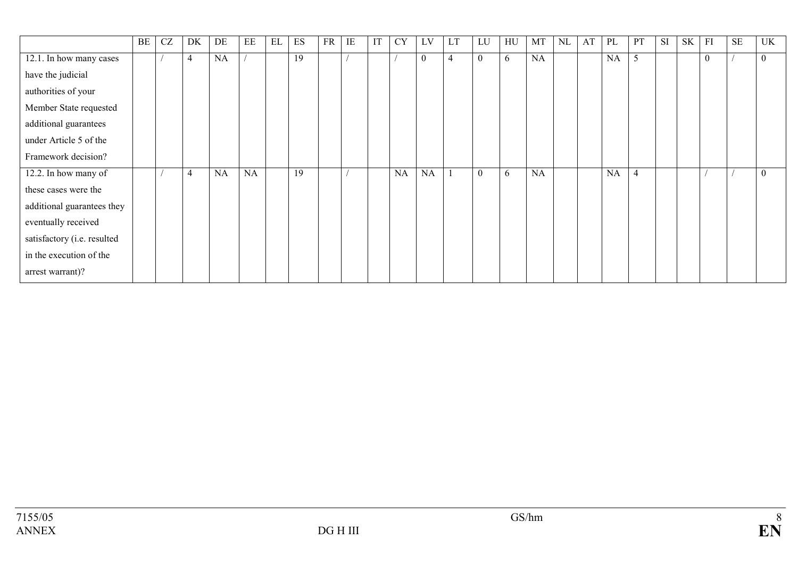|                             | BE | <b>CZ</b> | DK             | DE | EE | EL | ES | <b>FR</b> | IE | IT | <b>CY</b> | LV               | LT             | LU       | HU | MT | <b>NL</b> | AT | PL        | PT             | <b>SI</b> | SK | F1       | <b>SE</b> | <b>UK</b>        |
|-----------------------------|----|-----------|----------------|----|----|----|----|-----------|----|----|-----------|------------------|----------------|----------|----|----|-----------|----|-----------|----------------|-----------|----|----------|-----------|------------------|
| 12.1. In how many cases     |    |           | $\overline{4}$ | NA |    |    | 19 |           |    |    |           | $\boldsymbol{0}$ | $\overline{4}$ | $\theta$ | 6  | NA |           |    | NA        | 5              |           |    | $\theta$ |           | $\overline{0}$   |
| have the judicial           |    |           |                |    |    |    |    |           |    |    |           |                  |                |          |    |    |           |    |           |                |           |    |          |           |                  |
| authorities of your         |    |           |                |    |    |    |    |           |    |    |           |                  |                |          |    |    |           |    |           |                |           |    |          |           |                  |
| Member State requested      |    |           |                |    |    |    |    |           |    |    |           |                  |                |          |    |    |           |    |           |                |           |    |          |           |                  |
| additional guarantees       |    |           |                |    |    |    |    |           |    |    |           |                  |                |          |    |    |           |    |           |                |           |    |          |           |                  |
| under Article 5 of the      |    |           |                |    |    |    |    |           |    |    |           |                  |                |          |    |    |           |    |           |                |           |    |          |           |                  |
| Framework decision?         |    |           |                |    |    |    |    |           |    |    |           |                  |                |          |    |    |           |    |           |                |           |    |          |           |                  |
| 12.2. In how many of        |    |           | $\overline{4}$ | NA | NA |    | 19 |           |    |    | <b>NA</b> | <b>NA</b>        |                | $\theta$ | 6  | NA |           |    | <b>NA</b> | $\overline{4}$ |           |    |          |           | $\boldsymbol{0}$ |
| these cases were the        |    |           |                |    |    |    |    |           |    |    |           |                  |                |          |    |    |           |    |           |                |           |    |          |           |                  |
| additional guarantees they  |    |           |                |    |    |    |    |           |    |    |           |                  |                |          |    |    |           |    |           |                |           |    |          |           |                  |
| eventually received         |    |           |                |    |    |    |    |           |    |    |           |                  |                |          |    |    |           |    |           |                |           |    |          |           |                  |
| satisfactory (i.e. resulted |    |           |                |    |    |    |    |           |    |    |           |                  |                |          |    |    |           |    |           |                |           |    |          |           |                  |
| in the execution of the     |    |           |                |    |    |    |    |           |    |    |           |                  |                |          |    |    |           |    |           |                |           |    |          |           |                  |
| arrest warrant)?            |    |           |                |    |    |    |    |           |    |    |           |                  |                |          |    |    |           |    |           |                |           |    |          |           |                  |